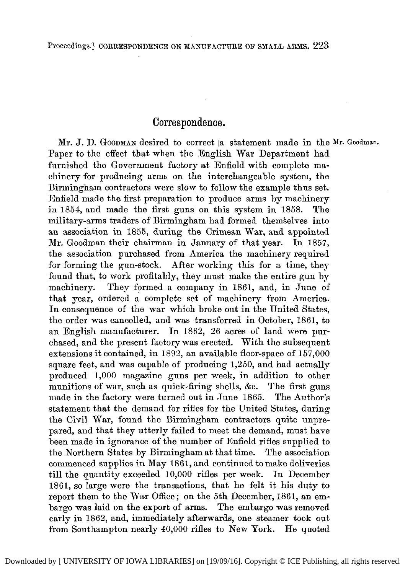## Correspondence.

Mr. J. D. GOODMAN desired to correct la statement made in the **Mr.** Goodman. Paper to the effect that when the English War Department had furnished the Government factory at Enfield with complete machinery for producing arms on the interchangeable system, the Birmingham contractors were slow to follow the example thus set. Enfield made the first preparation to produce arms  $\overrightarrow{bv}$  machinery in 1854, and made the first guns on this system in 1858. military-arms traders of Birmingham had formed themselves into an association in 1855, during the Crimean War, and appointed Mr. Goodman their chairman in January of that year. In 1857, the association purchased from America the machinery required for forming the gun-stock. After working this for a time, they found that, to work profitably, they must make the entire gun by machinery. They formed a company in 1861, and, in June of that year, ordered a complete set of machinery from America. In consequence of the war which broke out in the United States, the order was cancelled, and was transferred in October, 1861, to an English manufacturer. In 1862, 26 acres of land were purchased, and the present factory was erected. With the subsequent extensions it contained, in 1892, an available floor-space of 157,000 square feet, and was capable of producing 1,250, and had actually produced 1,000 magazine guns per week, in addition to other munitions of war, such as quick-firing shells, &c. The first guns made in the factory were turned out in June 1865. The Author's statement that the demand for rifles for the United States, during the Civil War, found the Birmingham contractors quite unprepared, and that they utterly failed to meet the demand, must have been made in ignorance of the number of Enfield rifles supplied to the Northern States by Birmingham at that time. The association commenced supplies in May 1861, and continued to make deliveries till the quantity exceeded 10,000 rifles per week. In December 1861, so large were the transactions, that he felt it his duty to report them to the War Office; on the 5th December, 1861, an embargo was laid on the export of arms. The embargo was removed early in 1862, and, immediately afterwards, one steamer took out from Southampton nearly 40,000 rifles to New York. He quoted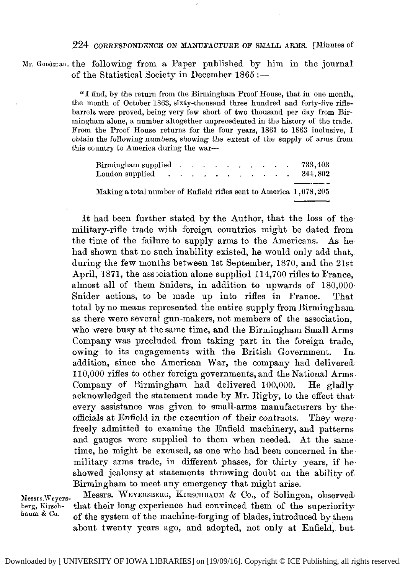224 CORRESPONDENCE **ON** NANUFACTURE OF **SNALL** ARDIS. [Minutes Of

Mr. Goodman. the following from a Paper published by him in the journal of the Statistical Society in December  $1865$  :-

> ''I find, by the return from the Birmingham Proof House, that in one month, the month of October 1563, sixty-thousand three hundred and forty-five riflebarrels mere proved, being very few short of two thousand per day from Birmingham alone, a number altogether unprecedented in the history of the trade. From the Proof House returns for the four years, 1861 to 1863 inclusive, **I**  obtain the following numbers, showing the extent of the supply of arms from this country to America during the war-

| Birmingham supplied<br>London supplied                            |  |  |  |  |  | 733,403<br>344.802 |
|-------------------------------------------------------------------|--|--|--|--|--|--------------------|
| Making a total number of Enfield rifles sent to America 1,078,205 |  |  |  |  |  |                    |

It had been further stated by the Author, that the loss of the military-rifle trade with foreign countries might be dated from the time of the failure to supply arms to the Americans. As he. had shown that no such inability existed, he would only add that, during the few months between 1st September, 1870, and the 21st April, 1871, the association alone supplied 114,700 rifles to France, almost all of them Sniders, in addition to upwards of 180,000 Snider actions, to be made up into rifles in France. That total by no means represented the entire supply from Birmingham. as there were several gun-makers, not members of the association, who were busy at the same time, and the Birmingham Small Arms Company was precluded from taking part in the foreign trade,. owing to its engagements with the British Government. In, addition, since the American War, the company had delivered 110,000 rifles to other foreign governments, and the National Arms. Company of Birmingham had delivered 100,000. He gladly acknowledged the statement made by Mr. Rigby, to the effect that every assistance was given to small-arms manufacturers by the officials at Enfield in the execution of their contracts. They were freely admitted to examine the Enfield machinery, and patterns and gauges were supplied to them when needed, At the same. time, he might be excused, **as** one who had been concerned in the. military arms trade, in different phases, for thirty years, if he. showed jealousy at statements throwing doubt on the ability of Birmingham to meet any emergency that might arise.

Messrs. WEYERSBERG, KIRSCHBAUM & Co., of Solingen, observed<sup>1</sup> Messrs, Weyers- Messrs. WEILERSBERG, KIRSCHBAUM & CO., 01 SOIIngen, ODServed.<br>berg, Kirsch- that their long experience had convinced them of the superiority<br>baum & Co. of the system of the machine-forging of blades, introduced by them about twenty years ago, and adopted, not only at Enfield,. but